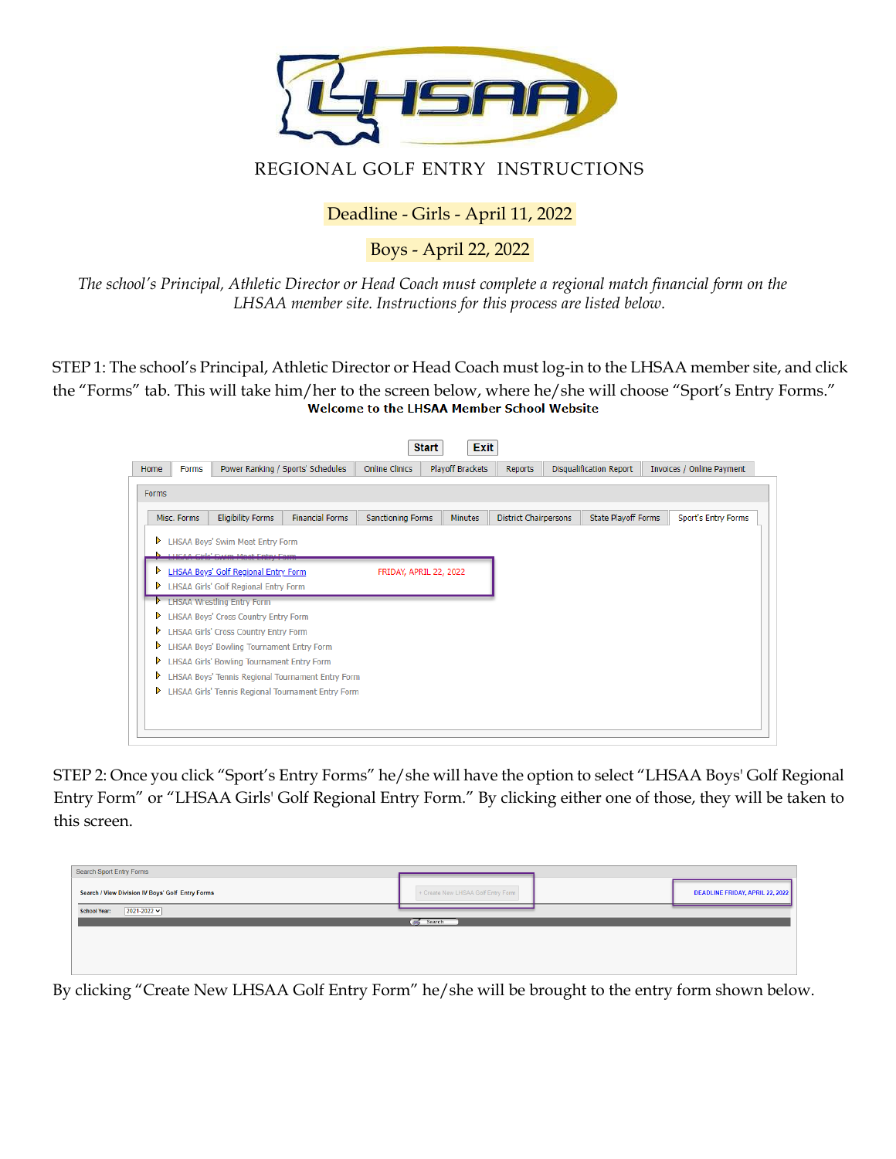

## REGIONAL GOLF ENTRY INSTRUCTIONS

Deadline - Girls - April 11, 2022

Boys - April 22, 2022

*The school's Principal, Athletic Director or Head Coach must complete a regional match financial form on the LHSAA member site. Instructions for this process are listed below.*

STEP 1: The school's Principal, Athletic Director or Head Coach must log-in to the LHSAA member site, and click the "Forms" tab. This will take him/her to the screen below, where he/she will choose "Sport's Entry Forms."

| Home         | Forms       |                                            | Power Ranking / Sports' Schedules                  | <b>Online Clinics</b>    | Playoff Brackets | <b>Reports</b>               | <b>Disqualification Report</b> | Invoices / Online Payment |
|--------------|-------------|--------------------------------------------|----------------------------------------------------|--------------------------|------------------|------------------------------|--------------------------------|---------------------------|
| <b>Forms</b> |             |                                            |                                                    |                          |                  |                              |                                |                           |
|              | Misc. Forms | <b>Eligibility Forms</b>                   | <b>Financial Forms</b>                             | <b>Sanctioning Forms</b> | <b>Minutes</b>   | <b>District Chairpersons</b> | State Playoff Forms            | Sport's Entry Forms       |
| ▷            |             | LHSAA Boys' Swim Meet Entry Form           |                                                    |                          |                  |                              |                                |                           |
|              |             | <b>LHCAA Cirlo' Cwim Meet Entry Fe</b>     |                                                    |                          |                  |                              |                                |                           |
| ⋗            |             | LHSAA Boys' Golf Regional Entry Form       |                                                    | FRIDAY, APRIL 22, 2022   |                  |                              |                                |                           |
|              |             | LHSAA Girls' Golf Regional Entry Form      |                                                    |                          |                  |                              |                                |                           |
|              |             | <b>LHSAA Wrestling Entry Form</b>          |                                                    |                          |                  |                              |                                |                           |
| ▷            |             | LHSAA Boys' Cross Country Entry Form       |                                                    |                          |                  |                              |                                |                           |
| ▷            |             | LHSAA Girls' Cross Country Entry Form      |                                                    |                          |                  |                              |                                |                           |
| ▷            |             | LHSAA Boys' Bowling Tournament Entry Form  |                                                    |                          |                  |                              |                                |                           |
| ⋗            |             | LHSAA Girls' Bowling Tournament Entry Form |                                                    |                          |                  |                              |                                |                           |
| ▷            |             |                                            | LHSAA Boys' Tennis Regional Tournament Entry Form  |                          |                  |                              |                                |                           |
| ▷            |             |                                            | LHSAA Girls' Tennis Regional Tournament Entry Form |                          |                  |                              |                                |                           |
|              |             |                                            |                                                    |                          |                  |                              |                                |                           |

STEP 2: Once you click "Sport's Entry Forms" he/she will have the option to select "LHSAA Boys' Golf Regional Entry Form" or "LHSAA Girls' Golf Regional Entry Form." By clicking either one of those, they will be taken to this screen.

| Search Sport Entry Forms                         |                                    |                                                                            |                                 |
|--------------------------------------------------|------------------------------------|----------------------------------------------------------------------------|---------------------------------|
| Search / View Division IV Boys' Golf Entry Forms | + Create New LHSAA Golf Entry Form |                                                                            | DEADLINE FRIDAY, APRIL 22, 2022 |
| $2021 - 2022$<br><b>School Year:</b>             |                                    |                                                                            |                                 |
|                                                  | Search                             |                                                                            |                                 |
|                                                  |                                    |                                                                            |                                 |
|                                                  |                                    |                                                                            |                                 |
|                                                  |                                    |                                                                            |                                 |
| ________________________                         |                                    | المستحدث والمستحدث والمستحدث والمستحدث والمتحدث والمتحدث والمتحدث والمتحدث |                                 |

By clicking "Create New LHSAA Golf Entry Form" he/she will be brought to the entry form shown below.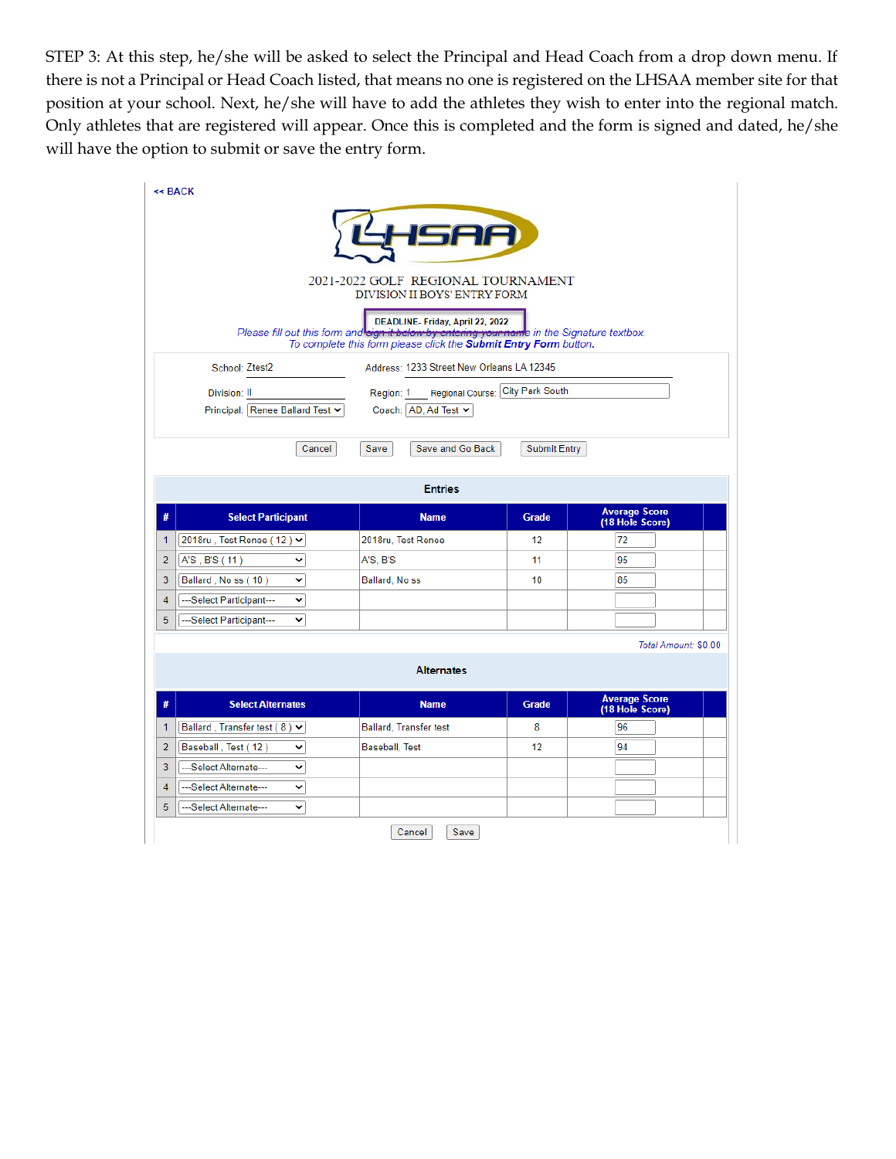STEP 3: At this step, he/she will be asked to select the Principal and Head Coach from a drop down menu. If there is not a Principal or Head Coach listed, that means no one is registered on the LHSAA member site for that position at your school. Next, he/she will have to add the athletes they wish to enter into the regional match. Only athletes that are registered will appear. Once this is completed and the form is signed and dated, he/she will have the option to submit or save the entry form.

| $<<$ BACK                                   |                                                                                                                                                                                                     |                                  |                                         |
|---------------------------------------------|-----------------------------------------------------------------------------------------------------------------------------------------------------------------------------------------------------|----------------------------------|-----------------------------------------|
|                                             | LHSAA                                                                                                                                                                                               |                                  |                                         |
|                                             | 2021-2022 GOLF REGIONAL TOURNAMENT<br>DIVISION II BOYS' ENTRY FORM                                                                                                                                  |                                  |                                         |
|                                             |                                                                                                                                                                                                     |                                  |                                         |
|                                             | DEADLINE- Friday, April 22, 2022<br>Please fill out this form and sign it below by entering your name in the Signature textbox.<br>To complete this form please click the Submit Entry Form button. |                                  |                                         |
| School: Ztest2                              | Address: 1233 Street New Orleans LA 12345                                                                                                                                                           |                                  |                                         |
| Division: II                                | Region: 1                                                                                                                                                                                           | Regional Course: City Park South |                                         |
| Principal: Renee Ballard Test ↓             | Coach: AD, Ad Test $\vee$                                                                                                                                                                           |                                  |                                         |
|                                             |                                                                                                                                                                                                     |                                  |                                         |
| Cancel                                      | Save<br>Save and Go Back                                                                                                                                                                            | <b>Submit Entry</b>              |                                         |
|                                             |                                                                                                                                                                                                     |                                  |                                         |
|                                             | <b>Entries</b>                                                                                                                                                                                      |                                  |                                         |
| #<br><b>Select Participant</b>              | <b>Name</b>                                                                                                                                                                                         | <b>Grade</b>                     | <b>Average Score</b><br>(18 Hole Score) |
| 2018ru, Test Renee (12) ∨<br>1              | 2018ru, Test Renee                                                                                                                                                                                  | 12                               | 72                                      |
| A'S, B'S (11)<br>2<br>v                     | A'S, B'S                                                                                                                                                                                            | 11                               | 95                                      |
| Ballard, No ss (10)<br>3<br>v               | Ballard, No ss                                                                                                                                                                                      | 10                               | 85                                      |
|                                             |                                                                                                                                                                                                     |                                  |                                         |
| 4<br>---Select Participant---<br>v          |                                                                                                                                                                                                     |                                  |                                         |
| 5<br>---Select Participant---<br>v          |                                                                                                                                                                                                     |                                  |                                         |
|                                             |                                                                                                                                                                                                     |                                  | Total Amount: \$0.00                    |
|                                             | <b>Alternates</b>                                                                                                                                                                                   |                                  |                                         |
|                                             |                                                                                                                                                                                                     |                                  |                                         |
| <b>Select Alternates</b><br>#               | <b>Name</b>                                                                                                                                                                                         | <b>Grade</b>                     | <b>Average Score</b><br>(18 Hole Score) |
| Ballard, Transfer test (8) $\vee$<br>1      | Ballard, Transfer test                                                                                                                                                                              | 8                                | 96                                      |
| $\overline{2}$<br>Baseball, Test (12)<br>v  | <b>Baseball, Test</b>                                                                                                                                                                               | 12 <sup>2</sup>                  | 94                                      |
| 3<br>---Select Alternate---<br>v            |                                                                                                                                                                                                     |                                  |                                         |
| 4<br>---Select Alternate---<br>$\checkmark$ |                                                                                                                                                                                                     |                                  |                                         |
| ---Select Alternate---<br>5<br>v            |                                                                                                                                                                                                     |                                  |                                         |